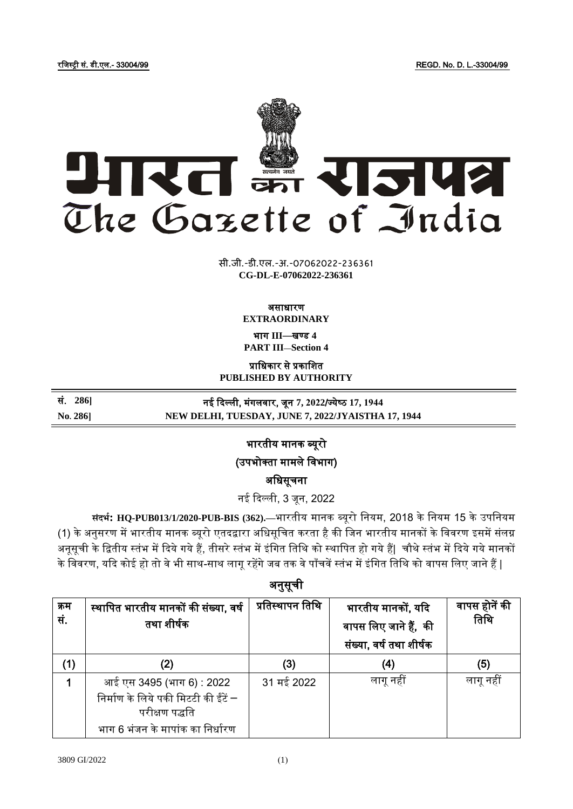रजिस्ट्री सं. डी.एल.- 33004/99 REGD. No. D. L.-33004/99



**xxxGIDHxxx xxxGIDExxx CG-DL-E-07062022-236361**सी.जी.-डी.एल.-अ.-07062022-236361

### असाधारण **EXTRAORDINARY**

भाग **III**—खण् ड **4**

**PART III—Section 4**

प्राजधकार से प्रकाजित

**PUBLISHED BY AUTHORITY**

सं. **286]** नई दिल्ली, मंगलिार, िून **7, 2022**/ज् येष् ठ **17, 1944 No. 286] NEW DELHI, TUESDAY, JUNE 7, 2022/JYAISTHA 17, 1944**

भारतीय मानक ब्यूरो

(उपभोक्ता मामले विभाग)

अजधसूचना

नई दिल्ली, 3 िून, 2022

**संदर्भ: HQ-PUB013/1/2020-PUB-BIS (362).—**भारतीय मानक ब्यूरो जनयम, 2018 केजनयम 15 केउपजनयम (1) के अनुसरण में भारतीय मानक ब्यूरो एतदद्वारा अधिसूचित करता है की जिन भारतीय मानकों के विवरण इसमें संलग्न अनूसूची के द्वितीय स्तंभ में दिये गये हैं, तीसरे स्तंभ में इंगित तिथि को स्थापित हो गये हैं| चौथे स्तंभ में दिये गये मानकों के विवरण, यदि कोई हो तो वे भी साथ-साथ लागू रहेंगे जब तक वे पाँचवें स्तंभ में इंगित तिथि को वापस लिए जाने हैं |

अनुसूची क्रम सं. स्थापित भारतीय मानकों की संख्या, वर्ष तथा शीर्षक प्रतिस्थापन तिथि  $\parallel$  भारतीय मानकों, यदि वापस लिए जाने हैं, की संख्या, वर्ष तथा शीर्षक िापस होनें की तिथि  $(1)$   $(2)$   $(3)$   $(4)$   $(5)$ 1 आई एस 3495 (भाग 6) : 2022 निर्माण के लिये पकी मिटटी की ईंटें $-$ परीक्षण पद्धजत भाग 6 भंजन के मापांक का निर्धारण 31 मई 2022 लागूनहीं लागूनहीं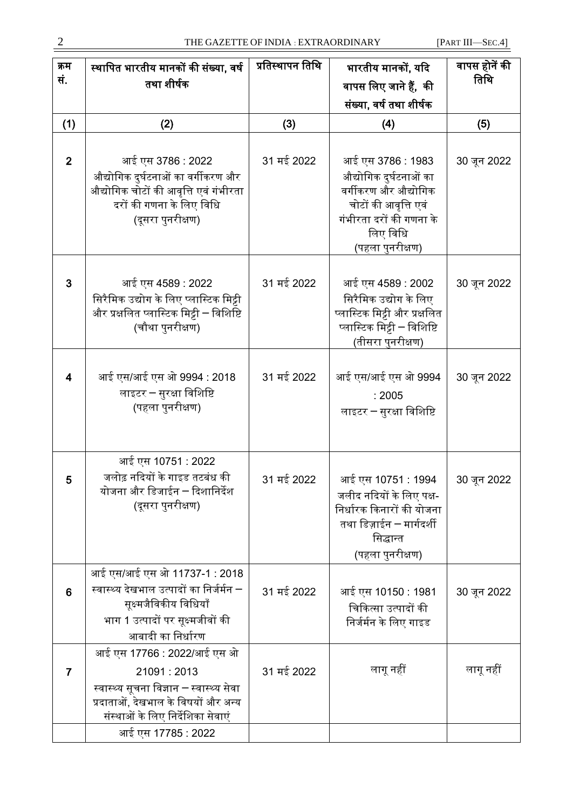| क्रम<br>सं.     | स्थापित भारतीय मानकों की संख्या, वर्ष<br>तथा शीर्षक                                                                                                                                    | प्रतिस्थापन तिथि | भारतीय मानकों, यदि<br>वापस लिए जाने हैं,  की<br>संख्या, वर्ष तथा शीर्षक                                                                                | वापस होनें की<br>तिथि |
|-----------------|----------------------------------------------------------------------------------------------------------------------------------------------------------------------------------------|------------------|--------------------------------------------------------------------------------------------------------------------------------------------------------|-----------------------|
| (1)             | (2)                                                                                                                                                                                    | (3)              | (4)                                                                                                                                                    | (5)                   |
| $\overline{2}$  | आई एस 3786 : 2022<br>औद्योगिक दुर्घटनाओं का वर्गीकरण और<br>औद्योगिक चोटों की आवृत्ति एवं गंभीरता<br>दरों की गणना के लिए विधि<br>(दूसरा पुनरीक्षण)                                      | 31 मई 2022       | आई एस 3786 : 1983<br>औद्योगिक दुर्घटनाओं का<br>वर्गीकरण और औद्योगिक<br>चोटों की आवृत्ति एवं<br>गंभीरता दरों की गणना के<br>लिए विधि<br>(पहला पुनरीक्षण) | 30 जून 2022           |
| 3               | आई एस 4589 : 2022<br>सिरैमिक उद्योग के लिए प्लास्टिक मिट्टी<br>और प्रक्षलित प्लास्टिक मिट्टी – विशिष्टि<br>(चौथा पुनरीक्षण)                                                            | 31 मई 2022       | आई एस 4589 : 2002<br>सिरैमिक उद्योग के लिए<br>प्लास्टिक मिट्टी और प्रक्षलित<br>प्लास्टिक मिट्टी – विशिष्टि<br>(तीसरा पुनरीक्षण)                        | 30 जून 2022           |
| $\overline{4}$  | आई एस/आई एस ओ 9994 : 2018<br>लाइटर – सुरक्षा विशिष्टि<br>(पहला पुनरीक्षण)                                                                                                              | 31 मई 2022       | आई एस/आई एस ओ 9994<br>: 2005<br>लाइटर – सुरक्षा विशिष्टि                                                                                               | 30 जून 2022           |
| 5               | आई एस 10751 : 2022<br>जलोढ़ नदियों के गाइड तटबंध की<br>योजना और डिजाईन ─ दिशानिर्देश<br>(दूसरा पुनरीक्षण)                                                                              | 31 मई 2022       | आई एस 10751 : 1994<br>जलीद नदियों के लिए पक्ष-<br>निर्धारक किनारों की योजना<br>तथा डिज़ाईन – मार्गदर्शी<br>सिद्धान्त<br>(पहला पुनरीक्षण)               | 30 जून 2022           |
| $6\phantom{1}6$ | आई एस/आई एस ओ 11737-1 : 2018<br>स्वास्थ्य देखभाल उत्पादों का निर्जर्मन –<br>सूक्ष्मजैविकीय विधियाँ<br>भाग 1 उत्पादों पर सूक्ष्मजीवों की<br>आबादी का निर्धारण                           | 31 मई 2022       | आई एस 10150 : 1981<br>चिकित्सा उत्पादों की<br>निर्जर्मन के लिए गाइड                                                                                    | 30 जून 2022           |
| $\overline{7}$  | आई एस 17766 : 2022/आई एस ओ<br>21091:2013<br>स्वास्थ्य सूचना विज्ञान – स्वास्थ्य सेवा<br>प्रदाताओं, देखभाल के विषयों और अन्य<br>संस्थाओं के लिए निर्देशिका सेवाएं<br>आई एस 17785 : 2022 | 31 मई 2022       | लागू नहीं                                                                                                                                              | लागू नहीं             |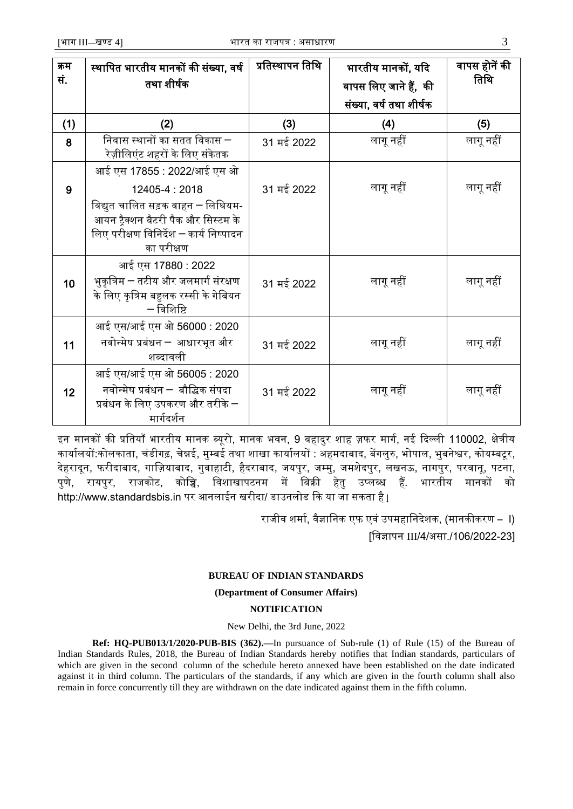| स्थापित भारतीय मानकों की संख्या, वर्ष                                                             | प्रतिस्थापन तिथि                                                                                                                                                                                                                                                                         | भारतीय मानकों, यदि      | वापस होनें की         |
|---------------------------------------------------------------------------------------------------|------------------------------------------------------------------------------------------------------------------------------------------------------------------------------------------------------------------------------------------------------------------------------------------|-------------------------|-----------------------|
| तथा शीर्षक                                                                                        |                                                                                                                                                                                                                                                                                          |                         | तिथि                  |
|                                                                                                   |                                                                                                                                                                                                                                                                                          | संख्या, वर्ष तथा शीर्षक |                       |
| (2)                                                                                               | (3)                                                                                                                                                                                                                                                                                      | (4)                     | (5)                   |
| ————————————————————<br>निवास स्थानों का सतत विकास <del>–</del><br>रेज़ीलिएंट शहरों के लिए संकेतक | 31 मई 2022                                                                                                                                                                                                                                                                               | लागू नहीं               | लागू नहीं             |
| आई एस 17855 : 2022/आई एस ओ                                                                        |                                                                                                                                                                                                                                                                                          |                         |                       |
| 12405-4:2018                                                                                      | 31 मई 2022                                                                                                                                                                                                                                                                               | लागू नहीं               | लागू नहीं             |
| विद्युत चालित सड़क वाहन ― लिथियम-                                                                 |                                                                                                                                                                                                                                                                                          |                         |                       |
|                                                                                                   |                                                                                                                                                                                                                                                                                          |                         |                       |
| का परीक्षण                                                                                        |                                                                                                                                                                                                                                                                                          |                         |                       |
| आई एस 17880 : 2022                                                                                |                                                                                                                                                                                                                                                                                          |                         |                       |
| भुकृत्रिम — तटीय और जलमार्ग संरक्षण                                                               | 31 मई 2022                                                                                                                                                                                                                                                                               | लागू नहीं               | लागू नहीं             |
|                                                                                                   |                                                                                                                                                                                                                                                                                          |                         |                       |
|                                                                                                   |                                                                                                                                                                                                                                                                                          |                         |                       |
| नवोन्मेष प्रबंधन — आधारभूत और                                                                     |                                                                                                                                                                                                                                                                                          | लागू नहीं               | लागू नहीं             |
| शब्दावली                                                                                          |                                                                                                                                                                                                                                                                                          |                         |                       |
|                                                                                                   |                                                                                                                                                                                                                                                                                          |                         |                       |
|                                                                                                   | 31 मई 2022                                                                                                                                                                                                                                                                               | लागू नहीं               | लागू नहीं             |
|                                                                                                   |                                                                                                                                                                                                                                                                                          |                         |                       |
|                                                                                                   | आयन ट्रैक्शन बैटरी पैक और सिस्टम के<br>लिए परीक्षण विनिर्देश – कार्य निष्पादन<br>के लिए कृत्रिम बहुलक रस्सी के गेबियन<br>$-$ विशिष्टि<br>आई एस/आई एस ओ 56000 : 2020<br>आई एस/आई एस ओ 56005 : 2020<br>नवोन्मेष प्रबंधन ─ बौद्धिक संपदा<br>प्रबंधन के लिए उपकरण और तरीके $-$<br>मार्गदर्शन | 31 मई 2022              | वापस लिए जाने हैं, की |

इन मानकों की प्रतियाँ भारतीय मानक ब्यूरो, मानक भवन, 9 बहादुर शाह ज़फर मार्ग, नई दिल्ली 110002, क्षेत्रीय कार्यालयों:कोलकाता, चंडीगढ़, चेन्नई, मुम्बई तथा शाखा कार्यालयों : अहमदाबाद, बेंगलुरु, भोपाल, भुबनेश्वर, कोयम्बटूर, देहरादून, फरीदाबाद, गाज़ियाबाद, गुवाहाटी, हैदराबाद, जयपुर, जम्मु, जमशेदपुर, लखनऊ, नागपुर, परवानू, पटना, पुणे, रायपुर, रािकोट, कोजि, जििाखापटनम में जबक्री हेतु उप्लब्ध हैं. भारतीय मानकों को [http://www.standardsbis.in](http://www.standardsbis.in/) पर आनलाईन खरीदा/ डाउनलोड कि या जा सकता है <u>|</u>

> राजीव शर्मा, वैज्ञानिक एफ एवं उपमहानिदेशक, (मानकीकरण – I) [जिज्ञापन III/4/असा./106/2022-23]

## **BUREAU OF INDIAN STANDARDS**

**(Department of Consumer Affairs)**

## **NOTIFICATION**

## New Delhi, the 3rd June, 2022

**Ref: [HQ-PUB013/1/2020-PUB-BIS](https://eoffice.bis.gov.in/eFile/?x=ay-mcMqzwTimlPeV5wuEL1YRbdD49M5p) (362).—**In pursuance of Sub-rule (1) of Rule (15) of the Bureau of Indian Standards Rules, 2018, the Bureau of Indian Standards hereby notifies that Indian standards, particulars of which are given in the second column of the schedule hereto annexed have been established on the date indicated against it in third column. The particulars of the standards, if any which are given in the fourth column shall also remain in force concurrently till they are withdrawn on the date indicated against them in the fifth column.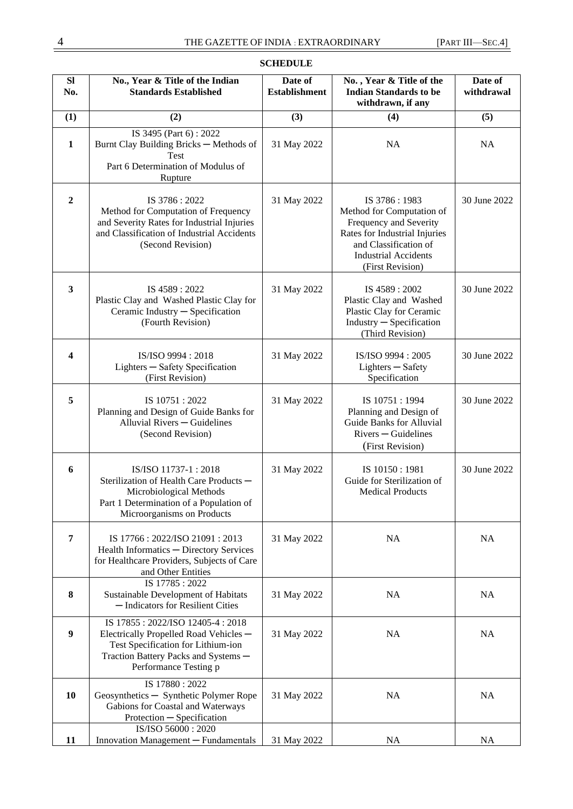| SI<br>No.        | No., Year & Title of the Indian<br><b>Standards Established</b>                                                                                                                   | Date of<br><b>Establishment</b> | No., Year & Title of the<br><b>Indian Standards to be</b><br>withdrawn, if any                                                                                                   | Date of<br>withdrawal |
|------------------|-----------------------------------------------------------------------------------------------------------------------------------------------------------------------------------|---------------------------------|----------------------------------------------------------------------------------------------------------------------------------------------------------------------------------|-----------------------|
| (1)              | (2)                                                                                                                                                                               | (3)                             | (4)                                                                                                                                                                              | (5)                   |
| $\mathbf{1}$     | IS 3495 (Part 6): 2022<br>Burnt Clay Building Bricks - Methods of<br>Test<br>Part 6 Determination of Modulus of<br>Rupture                                                        | 31 May 2022                     | NA                                                                                                                                                                               | <b>NA</b>             |
| $\boldsymbol{2}$ | IS 3786: 2022<br>Method for Computation of Frequency<br>and Severity Rates for Industrial Injuries<br>and Classification of Industrial Accidents<br>(Second Revision)             | 31 May 2022                     | IS 3786:1983<br>Method for Computation of<br>Frequency and Severity<br>Rates for Industrial Injuries<br>and Classification of<br><b>Industrial Accidents</b><br>(First Revision) | 30 June 2022          |
| 3                | IS 4589: 2022<br>Plastic Clay and Washed Plastic Clay for<br>Ceramic Industry - Specification<br>(Fourth Revision)                                                                | 31 May 2022                     | IS 4589: 2002<br>Plastic Clay and Washed<br>Plastic Clay for Ceramic<br>Industry - Specification<br>(Third Revision)                                                             | 30 June 2022          |
| 4                | IS/ISO 9994: 2018<br>Lighters - Safety Specification<br>(First Revision)                                                                                                          | 31 May 2022                     | IS/ISO 9994: 2005<br>Lighters - Safety<br>Specification                                                                                                                          | 30 June 2022          |
| 5                | IS 10751: 2022<br>Planning and Design of Guide Banks for<br>Alluvial Rivers - Guidelines<br>(Second Revision)                                                                     | 31 May 2022                     | IS 10751:1994<br>Planning and Design of<br><b>Guide Banks for Alluvial</b><br>$Rivers - Guidelines$<br>(First Revision)                                                          | 30 June 2022          |
| 6                | IS/ISO 11737-1:2018<br>Sterilization of Health Care Products -<br>Microbiological Methods<br>Part 1 Determination of a Population of<br>Microorganisms on Products                | 31 May 2022                     | IS 10150:1981<br>Guide for Sterilization of<br><b>Medical Products</b>                                                                                                           | 30 June 2022          |
| 7                | IS 17766 : 2022/ISO 21091 : 2013<br>Health Informatics - Directory Services<br>for Healthcare Providers, Subjects of Care<br>and Other Entities                                   | 31 May 2022                     | <b>NA</b>                                                                                                                                                                        | NA                    |
| 8                | IS 17785: 2022<br>Sustainable Development of Habitats<br>- Indicators for Resilient Cities                                                                                        | 31 May 2022                     | <b>NA</b>                                                                                                                                                                        | <b>NA</b>             |
| $\boldsymbol{9}$ | IS 17855: 2022/ISO 12405-4: 2018<br>Electrically Propelled Road Vehicles -<br>Test Specification for Lithium-ion<br>Traction Battery Packs and Systems -<br>Performance Testing p | 31 May 2022                     | <b>NA</b>                                                                                                                                                                        | NA                    |
| 10               | IS 17880: 2022<br>Geosynthetics - Synthetic Polymer Rope<br>Gabions for Coastal and Waterways<br>Protection - Specification                                                       | 31 May 2022                     | <b>NA</b>                                                                                                                                                                        | <b>NA</b>             |
| 11               | IS/ISO 56000: 2020<br>Innovation Management - Fundamentals                                                                                                                        | 31 May 2022                     | NA                                                                                                                                                                               | <b>NA</b>             |

# **SCHEDULE**